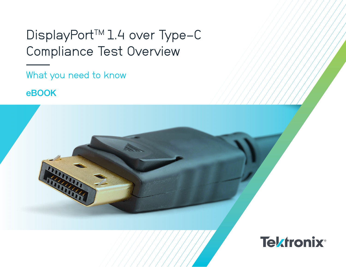## DisplayPort<sup>™</sup> 1.4 over Type-C Compliance Test Overview

What you need to know

eBOOK

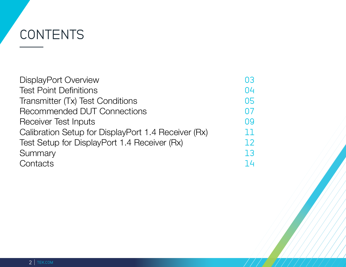# CONTENTS

| <b>DisplayPort Overview</b>                         | 03 |
|-----------------------------------------------------|----|
| <b>Test Point Definitions</b>                       | 04 |
| Transmitter (Tx) Test Conditions                    | 05 |
| <b>Recommended DUT Connections</b>                  | 07 |
| <b>Receiver Test Inputs</b>                         | 09 |
| Calibration Setup for DisplayPort 1.4 Receiver (Rx) | 11 |
| Test Setup for DisplayPort 1.4 Receiver (Rx)        | 12 |
| Summary                                             | 13 |
| Contacts                                            | 14 |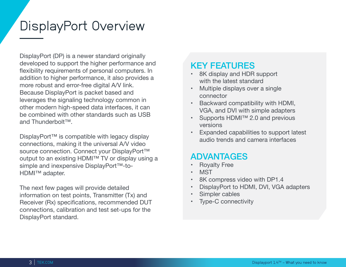## <span id="page-2-0"></span>DisplayPort Overview

DisplayPort (DP) is a newer standard originally developed to support the higher performance and flexibility requirements of personal computers. In addition to higher performance, it also provides a more robust and error-free digital A/V link. Because DisplayPort is packet based and leverages the signaling technology common in other modern high-speed data interfaces, it can be combined with other standards such as USB and Thunderbolt™.

DisplayPort™ is compatible with legacy display connections, making it the universal A/V video source connection. Connect your DisplayPort™ output to an existing HDMI™ TV or display using a simple and inexpensive DisplayPort™-to-HDMI™ adapter.

The next few pages will provide detailed information on test points, Transmitter (Tx) and Receiver (Rx) specifications, recommended DUT connections, calibration and test set-ups for the DisplayPort standard.

### KEY FEATURES

- 8K display and HDR support with the latest standard
- Multiple displays over a single connector
- Backward compatibility with HDMI, VGA, and DVI with simple adapters
- Supports HDMI™ 2.0 and previous versions
- Expanded capabilities to support latest audio trends and camera interfaces

### ADVANTAGES

- **Royalty Free**
- **MST**
- 8K compress video with DP1.4
- DisplayPort to HDMI, DVI, VGA adapters
- Simpler cables
- Type-C connectivity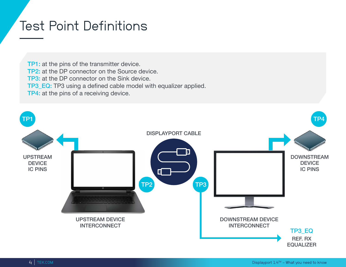## <span id="page-3-0"></span>Test Point Definitions

TP1: at the pins of the transmitter device. TP2: at the DP connector on the Source device. TP3: at the DP connector on the Sink device. TP3\_EQ: TP3 using a defined cable model with equalizer applied. TP4: at the pins of a receiving device.

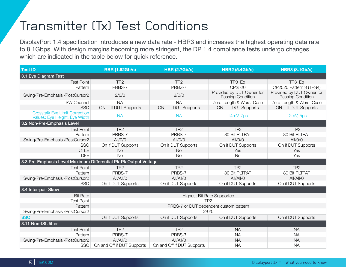## <span id="page-4-0"></span>Transmitter (Tx) Test Conditions

DisplayPort 1.4 specification introduces a new data rate - HBR3 and increases the highest operating data rate to 8.1Gbps. With design margins becoming more stringent, the DP 1.4 compliance tests undergo changes which are indicated in the table below for quick reference.

| <b>Test ID</b>                                                         | <b>RBR (1.62Gb/s)</b>      | <b>HBR (2.7Gb/s)</b>                   | <b>HBR2 (5.4Gb/s)</b>                          | <b>HBR3 (8.1Gb/s)</b>                          |
|------------------------------------------------------------------------|----------------------------|----------------------------------------|------------------------------------------------|------------------------------------------------|
| 3.1 Eye Diagram Test                                                   |                            |                                        |                                                |                                                |
| <b>Test Point</b>                                                      | TP <sub>2</sub>            | TP <sub>2</sub>                        | TP3_Eq                                         | TP3_Eq                                         |
| Pattern                                                                | PRBS-7                     | PRBS-7                                 | CP2520                                         | CP2520 Pattern 3 (TPS4)                        |
| Swing/Pre-Emphasis /PostCursor2                                        | 2/0/0                      | 2/0/0                                  | Provided by DUT Owner for<br>Passing Condition | Provided by DUT Owner for<br>Passing Condition |
| SW Channel                                                             | <b>NA</b>                  | <b>NA</b>                              | Zero Length & Worst Case                       | Zero Length & Worst Case                       |
| <b>SSC</b>                                                             | ON - If DUT Supports       | ON - If DUT Supports                   | ON - If DUT Supports                           | ON - If DUT Supports                           |
| <b>Crosstalk Eye Limit Correction</b><br>Values: Eye Height, Eye Width | <b>NA</b>                  | <b>NA</b>                              | 14mV, 7ps                                      | 12mV, 5ps                                      |
| 3.2 Non-Pre-Emphasis Level                                             |                            |                                        |                                                |                                                |
| <b>Test Point</b>                                                      | TP <sub>2</sub>            | TP <sub>2</sub>                        | TP <sub>2</sub>                                | TP <sub>2</sub>                                |
| Pattern                                                                | PRBS-7                     | PRBS-7                                 | 80 Bit PLTPAT                                  | 80 Bit PLTPAT                                  |
| Swing/Pre-Emphasis /PostCursor2                                        | AlI/O/O                    | All/O/O                                | AlI/O/O                                        | AlI/O/O                                        |
| <b>SSC</b>                                                             | On if DUT Supports         | On if DUT Supports                     | On if DUT Supports                             | On if DUT Supports                             |
| <b>CTLE</b>                                                            | <b>No</b>                  | <b>No</b>                              | Yes                                            | Yes                                            |
| <b>DFE</b>                                                             | <b>No</b>                  | <b>No</b>                              | <b>No</b>                                      | Yes                                            |
| 3.3 Pre-Emphasis Level Maximum Differential Pk-Pk Output Voltage       |                            |                                        |                                                |                                                |
| <b>Test Point</b>                                                      | TP <sub>2</sub>            | TP <sub>2</sub>                        | TP <sub>2</sub>                                | TP <sub>2</sub>                                |
| Pattern                                                                | PRBS-7                     | PRBS-7                                 | 80 Bit PLTPAT                                  | 80 Bit PLTPAT                                  |
| Swing/Pre-Emphasis /PostCursor2                                        | All/All/0                  | All/All/0                              | All/All/0                                      | All/All/0                                      |
| <b>SSC</b>                                                             | On if DUT Supports         | On if DUT Supports                     | On if DUT Supports                             | On if DUT Supports                             |
| 3.4 Inter-pair Skew                                                    |                            |                                        |                                                |                                                |
| <b>Bit Rate</b>                                                        |                            |                                        | <b>Highest Bit Rate Supported</b>              |                                                |
| <b>Test Point</b>                                                      |                            |                                        | TP <sub>2</sub>                                |                                                |
| Pattern                                                                |                            | PRBS-7 or DUT dependent custom pattern |                                                |                                                |
| Swing/Pre-Emphasis /PostCursor2                                        |                            |                                        | 2/0/0                                          |                                                |
| <b>SSC</b>                                                             | On if DUT Supports         | On if DUT Supports                     | On if DUT Supports                             | On if DUT Supports                             |
| 3.11 Non-ISI Jitter                                                    |                            |                                        |                                                |                                                |
| <b>Test Point</b>                                                      | TP <sub>2</sub>            | TP <sub>2</sub>                        | <b>NA</b>                                      | <b>NA</b>                                      |
| Pattern                                                                | PRBS-7                     | PRBS-7                                 | <b>NA</b>                                      | <b>NA</b>                                      |
| Swing/Pre-Emphasis /PostCursor2                                        | All/All/0                  | All/All/0                              | <b>NA</b>                                      | <b>NA</b>                                      |
| <b>SSC</b>                                                             | On and Off if DUT Supports | On and Off if DUT Supports             | <b>NA</b>                                      | <b>NA</b>                                      |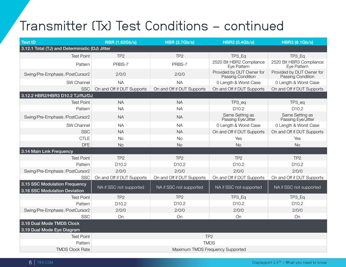## Transmitter (Tx) Test Conditions - continued

| <b>Test ID</b>                                                 | <b>RBR (1.62Gb/s)</b>            | <b>HBR (2.7Gb/s)</b>       | <b>HBR2 (5.4Gb/s)</b>                          | <b>HBR3 (8.1Gb/s)</b>                          |
|----------------------------------------------------------------|----------------------------------|----------------------------|------------------------------------------------|------------------------------------------------|
| 3.12.1 Total (TJ) and Deterministic (DJ) Jitter                |                                  |                            |                                                |                                                |
| <b>Test Point</b>                                              | TP <sub>2</sub>                  | TP <sub>2</sub>            | TP3_Eq                                         | TP3_Eq                                         |
| Pattern                                                        | PRBS-7                           | PRBS-7                     | 2520 Bit HBR2 Compliance<br>Eye Pattern        | 2520 Bit HBR3 Compliance<br>Eye Pattern        |
| Swing/Pre-Emphasis /PostCursor2                                | 2/0/0                            | 2/0/0                      | Provided by DUT Owner for<br>Passing Condition | Provided by DUT Owner for<br>Passing Condition |
| SW Channel                                                     | <b>NA</b>                        | <b>NA</b>                  | 0 Length & Worst Case                          | 0 Length & Worst Case                          |
| <b>SSC</b>                                                     | On and Off if DUT Supports       | On and Off if DUT Supports | On and Off if DUT Supports                     | On and Off if DUT Supports                     |
| 3.12.2 HBR2/HBR3 D10.2 TJ/RJ/DJ                                |                                  |                            |                                                |                                                |
| <b>Test Point</b>                                              | <b>NA</b>                        | <b>NA</b>                  | TP3_eq                                         | TP3_eq                                         |
| Pattern                                                        | <b>NA</b>                        | <b>NA</b>                  | D <sub>10.2</sub>                              | D <sub>10.2</sub>                              |
| Swing/Pre-Emphasis /PostCursor2                                | <b>NA</b>                        | <b>NA</b>                  | Same Setting as<br>Passing Eye/Jitter          | Same Setting as<br>Passing Eye/Jitter          |
| SW Channel                                                     | <b>NA</b>                        | <b>NA</b>                  | 0 Length & Worst Case                          | 0 Length & Worst Case                          |
| <b>SSC</b>                                                     | <b>NA</b>                        | <b>NA</b>                  | On and Off if DUT Supports                     | On and Off if DUT Supports                     |
| <b>CTLE</b>                                                    | <b>No</b>                        | <b>No</b>                  | Yes                                            | Yes                                            |
| <b>DFE</b>                                                     | <b>No</b>                        | <b>No</b>                  | <b>No</b>                                      | <b>No</b>                                      |
| 3.14 Main Link Frequency                                       |                                  |                            |                                                |                                                |
| <b>Test Point</b>                                              | TP <sub>2</sub>                  | TP <sub>2</sub>            | TP <sub>2</sub>                                | TP <sub>2</sub>                                |
| Pattern                                                        | D <sub>10.2</sub>                | D <sub>10.2</sub>          | D <sub>10.2</sub>                              | D <sub>10.2</sub>                              |
| Swing/Pre-Emphasis /PostCursor2                                | 2/0/0                            | 2/0/0                      | 2/0/0                                          | 2/0/0                                          |
| <b>SSC</b>                                                     | On and Off if DUT Supports       | On and Off if DUT Supports | On and Off if DUT Supports                     | On and Off if DUT Supports                     |
| 3.15 SSC Modulation Frequency<br>3.16 SSC Modulation Deviation | NA if SSC not supported          | NA if SSC not supported    | NA if SSC not supported                        | NA if SSC not supported                        |
| <b>Test Point</b>                                              | TP <sub>2</sub>                  | TP <sub>2</sub>            | TP3_Eq                                         | TP3_Eq                                         |
| Pattern                                                        | D <sub>10.2</sub>                | D <sub>10.2</sub>          | D <sub>10.2</sub>                              | D <sub>10.2</sub>                              |
| Swing/Pre-Emphasis /PostCursor2                                | 2/0/0                            | 2/0/0                      | 2/0/0                                          | 2/0/0                                          |
| <b>SSC</b>                                                     | On                               | On                         | On                                             | On                                             |
| 3.18 Dual Mode TMDS Clock<br>3.19 Dual Mode Eye Diagram        |                                  |                            |                                                |                                                |
| <b>Test Point</b>                                              |                                  |                            | TP <sub>2</sub>                                |                                                |
| Pattern                                                        | <b>TMDS</b>                      |                            |                                                |                                                |
| <b>TMDS Clock Rate</b>                                         | Maximum TMDS Frequency Supported |                            |                                                |                                                |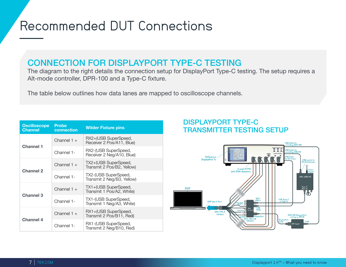## <span id="page-6-0"></span>Recommended DUT Connections

### CONNECTION FOR DISPLAYPORT TYPE-C TESTING

The diagram to the right details the connection setup for DisplayPort Type-C testing. The setup requires a Alt-mode controller, DPR-100 and a Type-C fixture.

The table below outlines how data lanes are mapped to oscilloscope channels.

| <b>Oscilloscope</b><br><b>Channel</b> | <b>Probe</b><br>connection | <b>Wilder Fixture pins</b>                         |
|---------------------------------------|----------------------------|----------------------------------------------------|
|                                       | Channel $1 +$              | RX2+(USB SuperSpeed,<br>Receiver 2 Pos/A11, Blue)  |
| <b>Channel 1</b>                      | Channel 1-                 | RX2-(USB SuperSpeed,<br>Receiver 2 Neg/A10, Blue)  |
|                                       | Channel $1 +$              | TX2+(USB SuperSpeed,<br>Transmit 2 Pos/B2, Yellow) |
| <b>Channel 2</b>                      | Channel 1-                 | TX2-(USB SuperSpeed,<br>Transmit 2 Neg/B3, Yellow) |
| <b>Channel 3</b>                      | Channel $1 +$              | TX1+(USB SuperSpeed,<br>Transmit 1 Pos/A2, White)  |
|                                       | Channel 1-                 | TX1-(USB SuperSpeed,<br>Transmit 1 Neg/A3, White)  |
| <b>Channel 4</b>                      | Channel $1 +$              | RX1+(USB SuperSpeed,<br>Transmit 2 Pos/B11, Red)   |
|                                       | Channel 1-                 | RX1-(USB SuperSpeed,<br>Transmit 2 Neg/B10, Red)   |

### DISPLAYPORT TYPE-C **TRANSMITTER TESTING SETUP**

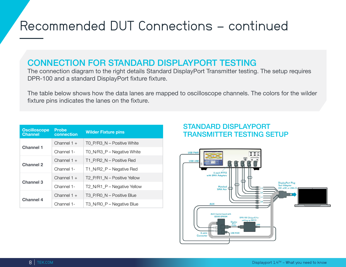## Recommended DUT Connections - continued

### CONNECTION FOR STANDARD DISPLAYPORT TESTING

The connection diagram to the right details Standard DisplayPort Transmitter testing. The setup requires DPR-100 and a standard DisplayPort fixture fixture.

The table below shows how the data lanes are mapped to oscilloscope channels. The colors for the wilder fixture pins indicates the lanes on the fixture.

| <b>Oscilloscope</b><br><b>Channel</b> | <b>Probe</b><br>connection | <b>Wilder Fixture pins</b>  |
|---------------------------------------|----------------------------|-----------------------------|
| <b>Channel 1</b>                      | Channel $1 +$              | TO P/R3 N - Positive White  |
|                                       | Channel 1-                 | T0_N/R3_P - Negative White  |
|                                       | Channel $1 +$              | T1_P/R2_N - Positive Red    |
| <b>Channel 2</b>                      | Channel 1-                 | T1_N/R2_P – Negative Red    |
|                                       | Channel $1 +$              | T2 P/R1 N - Positive Yellow |
| Channel 3                             | Channel 1-                 | T2 N/R1 P – Negative Yellow |
| <b>Channel 4</b>                      | Channel $1 +$              | T3_P/R0_N - Positive Blue   |
|                                       | Channel 1-                 | T3 N/R0 P – Negative Blue   |

### STANDARD DISPLAYPORT **TRANSMITTER TESTING SETUP**

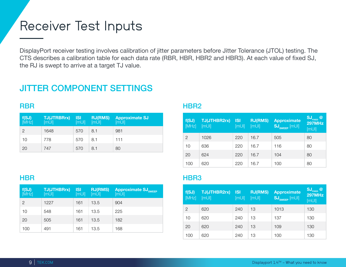### <span id="page-8-0"></span>Receiver Test Inputs

DisplayPort receiver testing involves calibration of jitter parameters before Jitter Tolerance (JTOL) testing. The CTS describes a calibration table for each data rate (RBR, HBR, HBR2 and HBR3). At each value of fixed SJ, the RJ is swept to arrive at a target TJ value.

### JITTER COMPONENT SETTINGS

### RBR

| f(SJ)<br><sub>[MHz]</sub> | <b>TJ(JTRBRrx)</b><br>[M | <b>ISI</b><br>[M | <b>RJ(RMS)</b><br>[mUI] | <b>Approximate SJ</b><br>[mUI] |
|---------------------------|--------------------------|------------------|-------------------------|--------------------------------|
| 2                         | 1648                     | 570              | 8.1                     | 981                            |
| 10                        | 778                      | 570              | 8.1                     | 111                            |
| 20                        | 747                      | 570              | 8.1                     | 80                             |

#### HBR2

| f(SJ)<br>[MHz] | <b>TJ(JTHBR2rx)</b><br>[M | <b>ISI</b><br>[M | <b>RJ(RMS)</b><br>[mUI] | <b>Approximate</b><br>$\text{SJ}_{\text{sweep}}$ [mUI] | SJ <sub>FIXED</sub><br>$\circledcirc$<br><b>297MHz</b><br>[M |
|----------------|---------------------------|------------------|-------------------------|--------------------------------------------------------|--------------------------------------------------------------|
| 2              | 1026                      | 220              | 16.7                    | 505                                                    | 80                                                           |
| 10             | 636                       | 220              | 16.7                    | 116                                                    | 80                                                           |
| 20             | 624                       | 220              | 16.7                    | 104                                                    | 80                                                           |
| 100            | 620                       | 220              | 16.7                    | 100                                                    | 80                                                           |

#### **HBR**

| f(SJ)<br>[MHz] | <b>TJ(JTHBRrx)</b><br>[mUI] | <b>ISI</b><br>[mUI] | <b>RJ(RMS)</b><br>[mUI] | <b>Approximate SJ<sub>SWEEP</sub></b><br>[M |
|----------------|-----------------------------|---------------------|-------------------------|---------------------------------------------|
| $\overline{2}$ | 1227                        | 161                 | 13.5                    | 904                                         |
| 10             | 548                         | 161                 | 13.5                    | 225                                         |
| 20             | 505                         | 161                 | 13.5                    | 182                                         |
| 100            | 491                         | 161                 | 13.5                    | 168                                         |

#### HBR3

| f(SJ)<br>[MHz] | <b>TJ(JTHBR2rx)</b><br>[M | <b>ISI</b><br>[M | <b>RJ(RMS)</b><br>[M | <b>Approximate</b><br>$\overline{\text{SJ}_{\text{SWEEP}}\text{[mU]}}$ | $\mathbf{S}$ <b>J</b> <sub>FIXED</sub> @<br><b>297MHz</b><br>[M |
|----------------|---------------------------|------------------|----------------------|------------------------------------------------------------------------|-----------------------------------------------------------------|
| 2              | 620                       | 240              | 13                   | 1013                                                                   | 130                                                             |
| 10             | 620                       | 240              | 13                   | 137                                                                    | 130                                                             |
| 20             | 620                       | 240              | 13                   | 109                                                                    | 130                                                             |
| 100            | 620                       | 240              | 13                   | 100                                                                    | 130                                                             |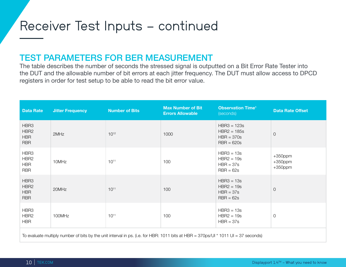### Receiver Test Inputs - continued

### TEST PARAMETERS FOR BER MEASUREMENT

The table describes the number of seconds the stressed signal is outputted on a Bit Error Rate Tester into the DUT and the allowable number of bit errors at each jitter frequency. The DUT must allow access to DPCD registers in order for test setup to be able to read the bit error value.

| <b>Data Rate</b>                                                                                                                     | <b>Jitter Frequency</b> | <b>Number of Bits</b> | <b>Max Number of Bit</b><br><b>Errors Allowable</b> | <b>Observation Time<sup>1</sup></b><br>(seconds)               | <b>Data Rate Offset</b>                |
|--------------------------------------------------------------------------------------------------------------------------------------|-------------------------|-----------------------|-----------------------------------------------------|----------------------------------------------------------------|----------------------------------------|
| HBR3<br>HBR <sub>2</sub><br><b>HBR</b><br><b>RBR</b>                                                                                 | 2MHz                    | $10^{12}$             | 1000                                                | $HBR3 = 123s$<br>$HBR2 = 185s$<br>$HBR = 370s$<br>$RBR = 620s$ | $\overline{O}$                         |
| HBR3<br>HBR <sub>2</sub><br><b>HBR</b><br><b>RBR</b>                                                                                 | 10MHz                   | $10^{11}$             | 100                                                 | $HBR3 = 13s$<br>$HBR2 = 19s$<br>$HBR = 37s$<br>$RBR = 62s$     | $+350$ ppm<br>$+350$ ppm<br>$+350$ ppm |
| HBR3<br>HBR <sub>2</sub><br><b>HBR</b><br><b>RBR</b>                                                                                 | 20MHz                   | $10^{11}$             | 100                                                 | $HBR3 = 13s$<br>$HBR2 = 19s$<br>$HBR = 37s$<br>$RBR = 62s$     | $\overline{O}$                         |
| HBR3<br>HBR <sub>2</sub><br><b>HBR</b>                                                                                               | 100MHz                  | $10^{11}$             | 100                                                 | $HBR3 = 13s$<br>$HBR2 = 19s$<br>$HBR = 37s$                    | $\mathbf 0$                            |
| To evaluate multiply number of bits by the unit interval in ps. (i.e. for HBR: 1011 bits at HBR = 370ps/UI $*$ 1011 UI = 37 seconds) |                         |                       |                                                     |                                                                |                                        |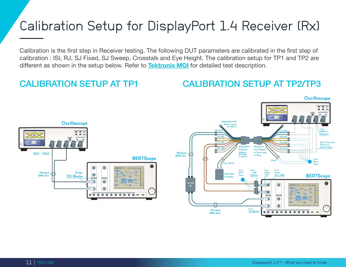## <span id="page-10-0"></span>Calibration Setup for DisplayPort 1.4 Receiver (Rx)

Calibration is the first step in Receiver testing. The following DUT parameters are calibrated in the first step of calibration : ISI, RJ, SJ Fixed, SJ Sweep, Crosstalk and Eye Height. The calibration setup for TP1 and TP2 are different as shown in the setup below. Refer to **[Tektronix MOI](https://www.tek.com/document/method-implementation/displayport-phy-14-sink-calibration-and-test-guide-moi)** for detailed test description.

CALIBRATION SETUP AT TP1 CALIBRATION SETUP AT TP2/TP3

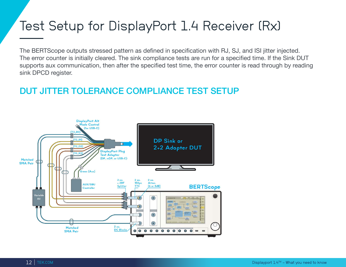## <span id="page-11-0"></span>Test Setup for DisplayPort 1.4 Receiver (Rx)

The BERTScope outputs stressed pattern as defined in specification with RJ, SJ, and ISI jitter injected. The error counter is initially cleared. The sink compliance tests are run for a specified time. If the Sink DUT supports aux communication, then after the specified test time, the error counter is read through by reading sink DPCD register.

### DUT JITTER TOLERANCE COMPLIANCE TEST SETUP

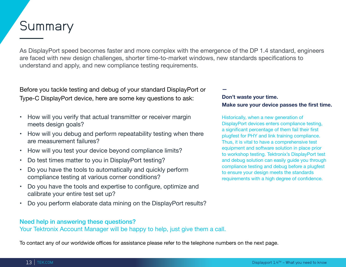## **Summary**

As DisplayPort speed becomes faster and more complex with the emergence of the DP 1.4 standard, engineers are faced with new design challenges, shorter time-to-market windows, new standards specifications to understand and apply, and new compliance testing requirements.

Before you tackle testing and debug of your standard DisplayPort or Type-C DisplayPort device, here are some key questions to ask:

- How will you verify that actual transmitter or receiver margin meets design goals?
- How will you debug and perform repeatability testing when there are measurement failures?
- How will you test your device beyond compliance limits?
- Do test times matter to you in DisplayPort testing?
- Do you have the tools to automatically and quickly perform compliance testing at various corner conditions?
- Do you have the tools and expertise to configure, optimize and calibrate your entire test set up?
- Do you perform elaborate data mining on the DisplayPort results?

#### Need help in answering these questions?

Your Tektronix Account Manager will be happy to help, just give them a call.

To contact any of our worldwide offices for assistance please refer to the telephone numbers on the next page.

**—**

#### **Don't waste your time. Make sure your device passes the first time.**

Historically, when a new generation of DisplayPort devices enters compliance testing, a significant percentage of them fail their first plugfest for PHY and link training compliance. Thus, it is vital to have a comprehensive test equipment and software solution in place prior to workshop testing. Tektronix's DisplayPort test and debug solution can easily guide you through compliance testing and debug before a plugfest to ensure your design meets the standards requirements with a high degree of confidence.